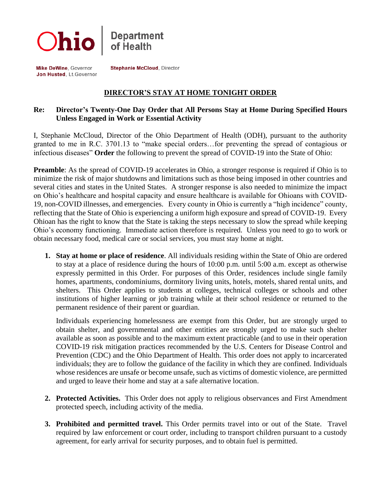

Mike DeWine, Governor Jon Husted, Lt. Governor **Stephanie McCloud, Director** 

## **DIRECTOR'S STAY AT HOME TONIGHT ORDER**

## **Re: Director's Twenty-One Day Order that All Persons Stay at Home During Specified Hours Unless Engaged in Work or Essential Activity**

I, Stephanie McCloud, Director of the Ohio Department of Health (ODH), pursuant to the authority granted to me in R.C. 3701.13 to "make special orders…for preventing the spread of contagious or infectious diseases" **Order** the following to prevent the spread of COVID-19 into the State of Ohio:

**Preamble**: As the spread of COVID-19 accelerates in Ohio, a stronger response is required if Ohio is to minimize the risk of major shutdowns and limitations such as those being imposed in other countries and several cities and states in the United States. A stronger response is also needed to minimize the impact on Ohio's healthcare and hospital capacity and ensure healthcare is available for Ohioans with COVID-19, non-COVID illnesses, and emergencies. Every county in Ohio is currently a "high incidence" county, reflecting that the State of Ohio is experiencing a uniform high exposure and spread of COVID-19. Every Ohioan has the right to know that the State is taking the steps necessary to slow the spread while keeping Ohio's economy functioning. Immediate action therefore is required. Unless you need to go to work or obtain necessary food, medical care or social services, you must stay home at night.

**1. Stay at home or place of residence**. All individuals residing within the State of Ohio are ordered to stay at a place of residence during the hours of 10:00 p.m. until 5:00 a.m. except as otherwise expressly permitted in this Order. For purposes of this Order, residences include single family homes, apartments, condominiums, dormitory living units, hotels, motels, shared rental units, and shelters. This Order applies to students at colleges, technical colleges or schools and other institutions of higher learning or job training while at their school residence or returned to the permanent residence of their parent or guardian.

Individuals experiencing homelessness are exempt from this Order, but are strongly urged to obtain shelter, and governmental and other entities are strongly urged to make such shelter available as soon as possible and to the maximum extent practicable (and to use in their operation COVID-19 risk mitigation practices recommended by the U.S. Centers for Disease Control and Prevention (CDC) and the Ohio Department of Health. This order does not apply to incarcerated individuals; they are to follow the guidance of the facility in which they are confined. Individuals whose residences are unsafe or become unsafe, such as victims of domestic violence, are permitted and urged to leave their home and stay at a safe alternative location.

- **2. Protected Activities.** This Order does not apply to religious observances and First Amendment protected speech, including activity of the media.
- **3. Prohibited and permitted travel.** This Order permits travel into or out of the State. Travel required by law enforcement or court order, including to transport children pursuant to a custody agreement, for early arrival for security purposes, and to obtain fuel is permitted.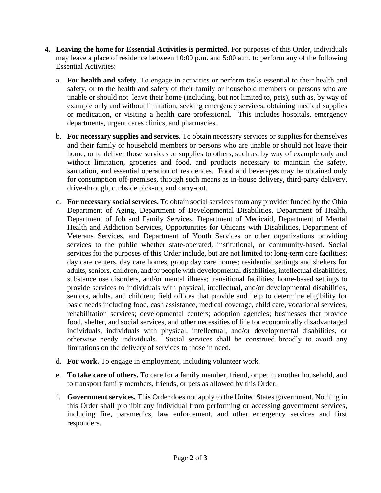- **4. Leaving the home for Essential Activities is permitted.** For purposes of this Order, individuals may leave a place of residence between 10:00 p.m. and 5:00 a.m. to perform any of the following Essential Activities:
	- a. **For health and safety**. To engage in activities or perform tasks essential to their health and safety, or to the health and safety of their family or household members or persons who are unable or should not leave their home (including, but not limited to, pets), such as, by way of example only and without limitation, seeking emergency services, obtaining medical supplies or medication, or visiting a health care professional. This includes hospitals, emergency departments, urgent cares clinics, and pharmacies.
	- b. **For necessary supplies and services.** To obtain necessary services or supplies for themselves and their family or household members or persons who are unable or should not leave their home, or to deliver those services or supplies to others, such as, by way of example only and without limitation, groceries and food, and products necessary to maintain the safety, sanitation, and essential operation of residences. Food and beverages may be obtained only for consumption off-premises, through such means as in-house delivery, third-party delivery, drive-through, curbside pick-up, and carry-out.
	- c. **For necessary social services.** To obtain social services from any provider funded by the Ohio Department of Aging, Department of Developmental Disabilities, Department of Health, Department of Job and Family Services, Department of Medicaid, Department of Mental Health and Addiction Services, Opportunities for Ohioans with Disabilities, Department of Veterans Services, and Department of Youth Services or other organizations providing services to the public whether state-operated, institutional, or community-based. Social services for the purposes of this Order include, but are not limited to: long-term care facilities; day care centers, day care homes, group day care homes; residential settings and shelters for adults, seniors, children, and/or people with developmental disabilities, intellectual disabilities, substance use disorders, and/or mental illness; transitional facilities; home-based settings to provide services to individuals with physical, intellectual, and/or developmental disabilities, seniors, adults, and children; field offices that provide and help to determine eligibility for basic needs including food, cash assistance, medical coverage, child care, vocational services, rehabilitation services; developmental centers; adoption agencies; businesses that provide food, shelter, and social services, and other necessities of life for economically disadvantaged individuals, individuals with physical, intellectual, and/or developmental disabilities, or otherwise needy individuals. Social services shall be construed broadly to avoid any limitations on the delivery of services to those in need.
	- d. **For work.** To engage in employment, including volunteer work.
	- e. **To take care of others.** To care for a family member, friend, or pet in another household, and to transport family members, friends, or pets as allowed by this Order.
	- f. **Government services.** This Order does not apply to the United States government. Nothing in this Order shall prohibit any individual from performing or accessing government services, including fire, paramedics, law enforcement, and other emergency services and first responders.